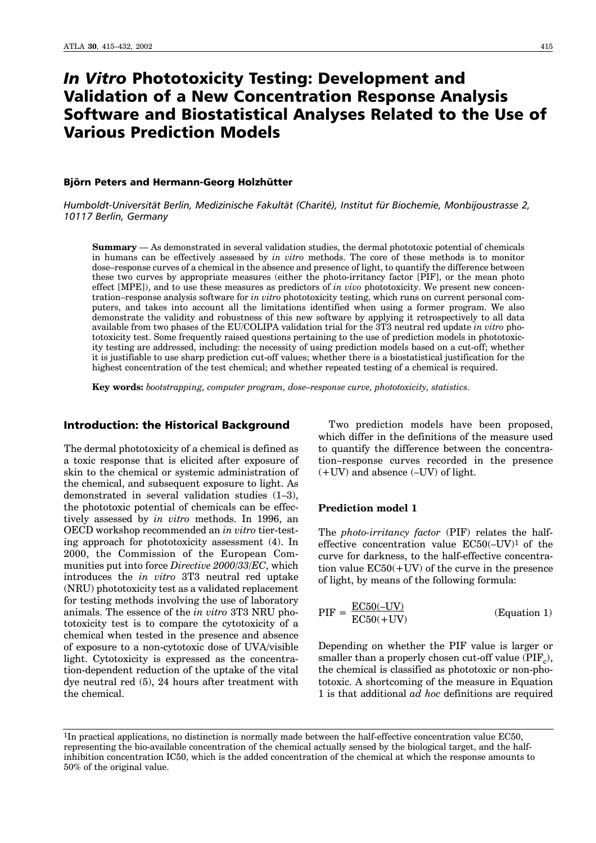# *In Vitro* Phototoxicity Testing: Development and Validation of a New Concentration Response Analysis Software and Biostatistical Analyses Related to the Use of Various Prediction Models

#### Biörn Peters and Hermann-Georg Holzhütter

Humboldt-Universität Berlin, Medizinische Fakultät (Charité), Institut für Biochemie, Monbijoustrasse 2, *10117 Berlin, Germany*

**Summary** – As demonstrated in several validation studies, the dermal phototoxic potential of chemicals in humans can be effectively assessed by *in vitro* methods. The core of these methods is to monitor dose-response curves of a chemical in the absence and presence of light, to quantify the difference between these two curves by appropriate measures (either the photo-irritancy factor [PIF], or the mean photo effect [MPE]), and to use these measures as predictors of *in vivo* phototoxicity. We present new concentration–response analysis software for *in vitro* phototoxicity testing, which runs on current personal computers, and takes into account all the limitations identified when using a former program. We also demonstrate the validity and robustness of this new software by applying it retrospectively to all data available from two phases of the EU/COLIPA validation trial for the 3T3 neutral red update *in vitro* phototoxicity test. Some frequently raised questions pertaining to the use of prediction models in phototoxicity testing are addressed, including: the necessity of using prediction models based on a cut-off; whether it is justifiable to use sharp prediction cut-off values; whether there is a biostatistical justification for the highest concentration of the test chemical; and whether repeated testing of a chemical is required.

Key words: *bootstrapping, computer program, dose-response curve, phototoxicity, statistics.* 

## Introduction: the Historical Background

The dermal phototoxicity of a chemical is defined as a toxic response that is elicited after exposure of skin to the chemical or systemic administration of the chemical, and subsequent exposure to light. As demonstrated in several validation studies  $(1-3)$ , the phototoxic potential of chemicals can be effectively assessed by *in vitro* methods. In 1996, an OECD workshop recommended an *in vitro* tier-testing approach for phototoxicity assessment (4). In 2000, the Commission of the European Communities put into force *Directive 2000/33/EC*, which introduces the *in vitro* 3T3 neutral red uptake (NRU) phototoxicity test as a validated replacement for testing methods involving the use of laboratory animals. The essence of the *in vitro* 3T3 NRU phototoxicity test is to compare the cytotoxicity of a chemical when tested in the presence and absence of exposure to a non-cytotoxic dose of UVA/visible light. Cytotoxicity is expressed as the concentration-dependent reduction of the uptake of the vital dye neutral red (5), 24 hours after treatment with the chemical.

Two prediction models have been proposed, which differ in the definitions of the measure used to quantify the difference between the concentration–response curves recorded in the presence  $(+UV)$  and absence  $(-UV)$  of light.

# **Prediction model 1**

The *photo-irritancy factor* (PIF) relates the halfeffective concentration value  $EC50(-UV)^1$  of the curve for darkness, to the half-effective concentration value  $EC50(+UV)$  of the curve in the presence of light, by means of the following formula:

$$
PIF = \frac{EC50(-UV)}{EC50(+UV)}
$$
 (Equation 1)

Depending on whether the PIF value is larger or smaller than a properly chosen cut-off value  $(PIF_c)$ , the chemical is classified as phototoxic or non-phototoxic. A shortcoming of the measure in Equation 1 is that additional *ad hoc* definitions are required

<sup>1</sup>In practical applications, no distinction is normally made between the half-effective concentration value EC50, representing the bio-available concentration of the chemical actually sensed by the biological target, and the halfinhibition concentration IC50, which is the added concentration of the chemical at which the response amounts to 50% of the original value.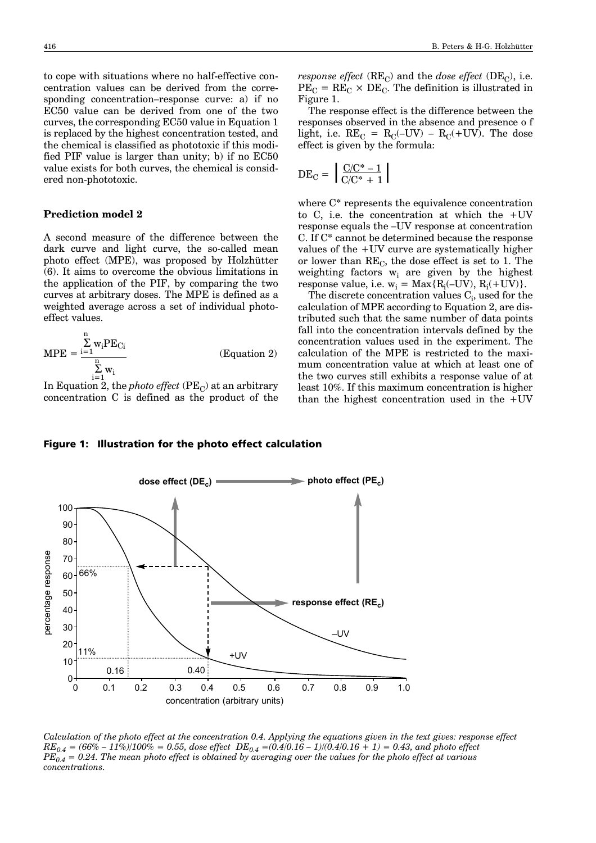to cope with situations where no half-effective concentration values can be derived from the corresponding concentration-response curve: a) if no EC50 value can be derived from one of the two curves, the corresponding EC50 value in Equation 1 is replaced by the highest concentration tested, and the chemical is classified as phototoxic if this modified PIF value is larger than unity; b) if no EC50 value exists for both curves, the chemical is considered non-phototoxic.

## **Prediction model 2**

A second measure of the difference between the dark curve and light curve, the so-called mean photo effect (MPE), was proposed by Holzhütter (6). It aims to overcome the obvious limitations in the application of the PIF, by comparing the two curves at arbitrary doses. The MPE is defined as a weighted average across a set of individual photoeffect values.

$$
MPE = \frac{\sum_{i=1}^{n} w_i PE_{Ci}}{\sum_{i=1}^{n} w_i}
$$
 (Equation 2)

In Equation 2, the *photo effect*  $(PE<sub>C</sub>)$  at an arbitrary concentration C is defined as the product of the *response effect*  $(RE_C)$  and the *dose effect*  $(DE_C)$ , i.e.  $PE_C = RE_C \times DE_C$ . The definition is illustrated in Figure 1.

The response effect is the difference between the responses observed in the absence and presence o f light, i.e.  $RE_C = R_C(-UV) - R_C(+UV)$ . The dose effect is given by the formula:

$$
DE_C = \left[ \frac{C/C^* - 1}{C/C^* + 1} \right]
$$

where C\* represents the equivalence concentration to C, i.e. the concentration at which the  $+UV$ response equals the -UV response at concentration C. If C\* cannot be determined because the response values of the +UV curve are systematically higher or lower than  $RE<sub>C</sub>$ , the dose effect is set to 1. The weighting factors  $w_i$  are given by the highest response value, i.e.  $w_i = Max\{R_i(-UV), R_i(+UV)\}.$ 

The discrete concentration values  $\mathrm{C}_{\mathrm{i}},$  used for the calculation of MPE according to Equation 2, are distributed such that the same number of data points fall into the concentration intervals defined by the concentration values used in the experiment. The calculation of the MPE is restricted to the maximum concentration value at which at least one of the two curves still exhibits a response value of at least 10%. If this maximum concentration is higher than the highest concentration used in the  $+UV$ 

#### Figure 1: Illustration for the photo effect calculation



*Calculation of the photo effect at the concentration 0.4. Applying the equations given in the text gives: response effect*  $RE_{0.4} = (66\% - 11\%)/100\% = 0.55$ , dose effect  $DE_{0.4} = (0.4/0.16 - 1)/(0.4/0.16 + 1) = 0.43$ , and photo effect  $PE_{0.4}^{\sigma}$  = 0.24. The mean photo effect is obtained by averaging over the values for the photo effect at various *concentrations.*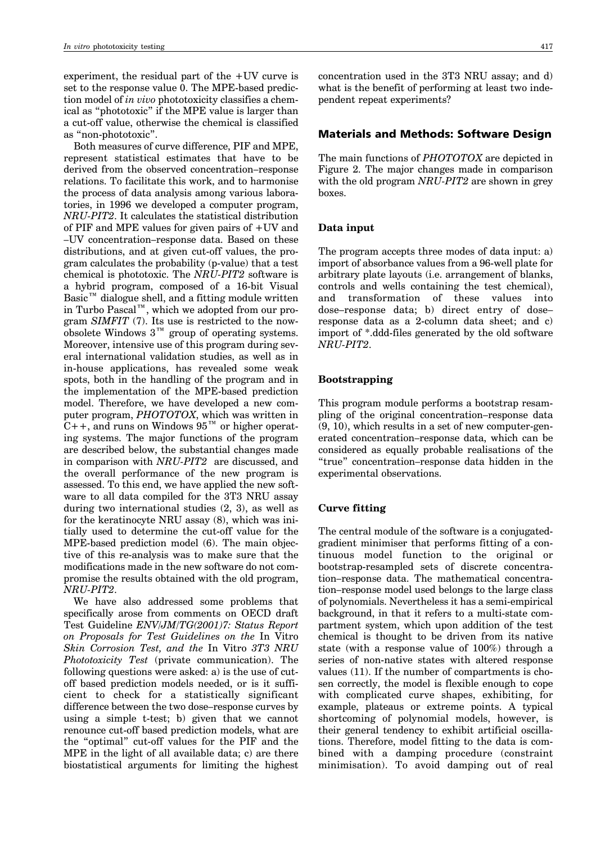experiment, the residual part of the +UV curve is set to the response value 0. The MPE-based prediction model of *in vivo* phototoxicity classifies a chemical as "phototoxic" if the MPE value is larger than a cut-off value, otherwise the chemical is classified as "non-phototoxic".

Both measures of curve difference, PIF and MPE, represent statistical estimates that have to be derived from the observed concentration-response relations. To facilitate this work, and to harmonise the process of data analysis among various laboratories, in 1996 we developed a computer program, *NRU-PIT2*. It calculates the statistical distribution of PIF and MPE values for given pairs of +UV and  $-UV$  concentration–response data. Based on these distributions, and at given cut-off values, the program calculates the probability (p-value) that a test chemical is phototoxic. The *NRU-PIT2* software is a hybrid program, composed of a 16-bit Visual Basic<sup> $M$ </sup> dialogue shell, and a fitting module written in Turbo Pascal<sup>™</sup>, which we adopted from our program *SIMFIT* (7). Its use is restricted to the nowobsolete Windows  $3^{\mathrm{m}}$  group of operating systems. Moreover, intensive use of this program during several international validation studies, as well as in in-house applications, has revealed some weak spots, both in the handling of the program and in the implementation of the MPE-based prediction model. Therefore, we have developed a new computer program, *PHOTOTOX*, which was written in  $C++$ , and runs on Windows 95<sup>TM</sup> or higher operating systems. The major functions of the program are described below, the substantial changes made in comparison with *NRU-PIT2* are discussed, and the overall performance of the new program is assessed. To this end, we have applied the new software to all data compiled for the 3T3 NRU assay during two international studies (2, 3), as well as for the keratinocyte NRU assay (8), which was initially used to determine the cut-off value for the MPE-based prediction model (6). The main objective of this re-analysis was to make sure that the modifications made in the new software do not compromise the results obtained with the old program, *NRU-PIT2*.

We have also addressed some problems that specifically arose from comments on OECD draft Test Guideline *ENV/JM/TG(2001)7: Status Report on Proposals for Test Guidelines on the* In Vitro *Skin Corrosion Test, and the* In Vitro *3T3 NRU Phototoxicity Test* (private communication). The following questions were asked: a) is the use of cutoff based prediction models needed, or is it sufficient to check for a statistically significant difference between the two dose-response curves by using a simple t-test; b) given that we cannot renounce cut-off based prediction models, what are the "optimal" cut-off values for the PIF and the MPE in the light of all available data; c) are there biostatistical arguments for limiting the highest

concentration used in the 3T3 NRU assay; and d) what is the benefit of performing at least two independent repeat experiments?

# Materials and Methods: Software Design

The main functions of *PHOTOTOX* are depicted in Figure 2. The major changes made in comparison with the old program *NRU-PIT2* are shown in grey boxes.

#### **Data input**

The program accepts three modes of data input: a) import of absorbance values from a 96-well plate for arbitrary plate layouts (i.e. arrangement of blanks, controls and wells containing the test chemical), and transformation of these values into dose-response data; b) direct entry of doseresponse data as a 2-column data sheet; and c) import of \*.ddd-files generated by the old software *NRU-PIT2*.

## **Bootstrapping**

This program module performs a bootstrap resampling of the original concentration–response data (9, 10), which results in a set of new computer-generated concentration-response data, which can be considered as equally probable realisations of the "true" concentration-response data hidden in the experimental observations.

## **Curve fitting**

The central module of the software is a conjugatedgradient minimiser that performs fitting of a continuous model function to the original or bootstrap-resampled sets of discrete concentration-response data. The mathematical concentration–response model used belongs to the large class of polynomials. Nevertheless it has a semi-empirical background, in that it refers to a multi-state compartment system, which upon addition of the test chemical is thought to be driven from its native state (with a response value of 100%) through a series of non-native states with altered response values (11). If the number of compartments is chosen correctly, the model is flexible enough to cope with complicated curve shapes, exhibiting, for example, plateaus or extreme points. A typical shortcoming of polynomial models, however, is their general tendency to exhibit artificial oscillations. Therefore, model fitting to the data is combined with a damping procedure (constraint minimisation). To avoid damping out of real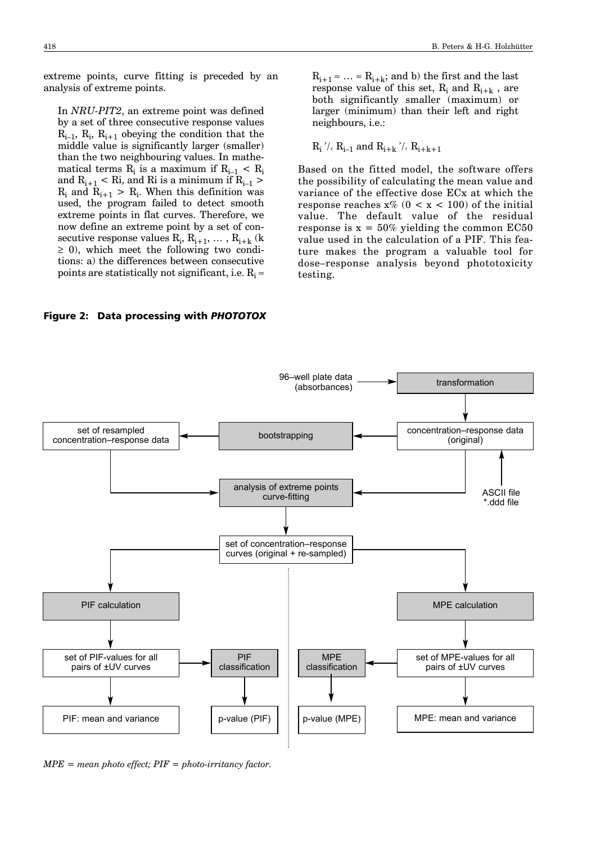extreme points, curve fitting is preceded by an analysis of extreme points.

In *NRU-PIT2*, an extreme point was defined by a set of three consecutive response values  $R_{i-1}$ ,  $R_i$ ,  $R_{i+1}$  obeying the condition that the middle value is significantly larger (smaller) than the two neighbouring values. In mathematical terms  $R_i$  is a maximum if  $R_{i-1}$  <  $R_i$ and  $R_{i+1}$  < Ri, and Ri is a minimum if  $R_{i-1}$  >  $R_i$  and  $R_{i+1} > R_i$ . When this definition was used, the program failed to detect smooth extreme points in flat curves. Therefore, we now define an extreme point by a set of consecutive response values  $\mathrm{R_{i},\,R_{i+1},\,\ldots\,,\,R_{i+k}}$  (k  $\geq$  0), which meet the following two conditions: a) the differences between consecutive points are statistically not significant, i.e.  $R_i \approx$ 

 $R_{i+1} \approx \ldots \approx R_{i+k}$ ; and b) the first and the last response value of this set,  $R_i$  and  $R_{i+k}$ , are both significantly smaller (maximum) or larger (minimum) than their left and right neighbours, i.e.:

$$
R_i^{\rightarrow}/_{\leftarrow} R_{i-1} \text{ and } R_{i+k}^{\rightarrow}/_{\leftarrow} R_{i+k+1}
$$

Based on the fitted model, the software offers the possibility of calculating the mean value and variance of the effective dose ECx at which the response reaches  $x\%$  (0 < x < 100) of the initial value. The default value of the residual response is  $x = 50\%$  yielding the common EC50 value used in the calculation of a PIF. This feature makes the program a valuable tool for dose-response analysis beyond phototoxicity testing.

Figure 2: Data processing with *PHOTOTOX*



*MPE = mean photo effect; PIF = photo-irritancy factor.*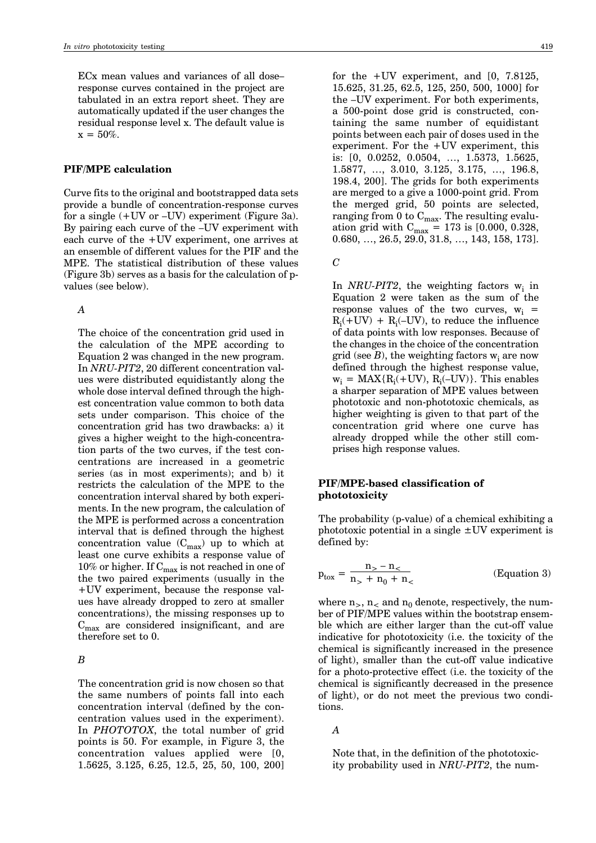$ECx$  mean values and variances of all doseresponse curves contained in the project are tabulated in an extra report sheet. They are automatically updated if the user changes the residual response level x. The default value is  $x = 50\%$ .

## **PIF/MPE calculation**

Curve fits to the original and bootstrapped data sets provide a bundle of concentration-response curves for a single  $(+UV$  or  $-UV)$  experiment (Figure 3a). By pairing each curve of the -UV experiment with each curve of the +UV experiment, one arrives at an ensemble of different values for the PIF and the MPE. The statistical distribution of these values (Figure 3b) serves as a basis for the calculation of pvalues (see below).

#### *A*

The choice of the concentration grid used in the calculation of the MPE according to Equation 2 was changed in the new program. In *NRU-PIT2*, 20 different concentration values were distributed equidistantly along the whole dose interval defined through the highest concentration value common to both data sets under comparison. This choice of the concentration grid has two drawbacks: a) it gives a higher weight to the high-concentration parts of the two curves, if the test concentrations are increased in a geometric series (as in most experiments); and b) it restricts the calculation of the MPE to the concentration interval shared by both experiments. In the new program, the calculation of the MPE is performed across a concentration interval that is defined through the highest concentration value  $(C_{max})$  up to which at least one curve exhibits a response value of  $10\%$  or higher. If  $\mathbf{C}_{\max}$  is not reached in one of the two paired experiments (usually in the +UV experiment, because the response values have already dropped to zero at smaller concentrations), the missing responses up to  $C_{\text{max}}$  are considered insignificant, and are therefore set to 0.

#### *B*

The concentration grid is now chosen so that the same numbers of points fall into each concentration interval (defined by the concentration values used in the experiment). In *PHOTOTOX*, the total number of grid points is 50. For example, in Figure 3, the concentration values applied were [0, 1.5625, 3.125, 6.25, 12.5, 25, 50, 100, 200]

for the  $+UV$  experiment, and  $[0, 7.8125,$ 15.625, 31.25, 62.5, 125, 250, 500, 1000] for the  $-UV$  experiment. For both experiments, a 500-point dose grid is constructed, containing the same number of equidistant points between each pair of doses used in the experiment. For the +UV experiment, this is: [0, 0.0252, 0.0504, ..., 1.5373, 1.5625, 1.5877, …, 3.010, 3.125, 3.175, …, 196.8, 198.4, 200]. The grids for both experiments are merged to a give a 1000-point grid. From the merged grid, 50 points are selected, ranging from 0 to  $C_{max}$ . The resulting evaluation grid with  $\rm{C_{max}}$  = 173 is [0.000, 0.328,  $0.680, ..., 26.5, 29.0, 31.8, ..., 143, 158, 173].$ 

 $\overline{C}$ 

In *NRU-PIT2*, the weighting factors  $w_i$  in Equation 2 were taken as the sum of the response values of the two curves,  $w_i$  =  $R_i(+UV) + R_i(-UV)$ , to reduce the influence of data points with low responses. Because of the changes in the choice of the concentration grid (see  $B$ ), the weighting factors  $w_i$  are now defined through the highest response value,  $w_i = MAX\{R_i(+UV), R_i(-UV)\}$ . This enables a sharper separation of MPE values between phototoxic and non-phototoxic chemicals, as higher weighting is given to that part of the concentration grid where one curve has already dropped while the other still comprises high response values.

# **PIF/MPE-based classification of phototoxicity**

The probability (p-value) of a chemical exhibiting a phototoxic potential in a single  $\pm$ UV experiment is defined by:

$$
p_{\text{tox}} = \frac{n_{>} - n_{<}}{n_{>} + n_{0} + n_{<}} \tag{Equation 3}
$$

where  $n_>, n_<$  and  $n_0$  denote, respectively, the number of PIF/MPE values within the bootstrap ensemble which are either larger than the cut-off value indicative for phototoxicity (i.e. the toxicity of the chemical is significantly increased in the presence of light), smaller than the cut-off value indicative for a photo-protective effect (i.e. the toxicity of the chemical is significantly decreased in the presence of light), or do not meet the previous two conditions.

#### *A*

Note that, in the definition of the phototoxicity probability used in *NRU-PIT2*, the num-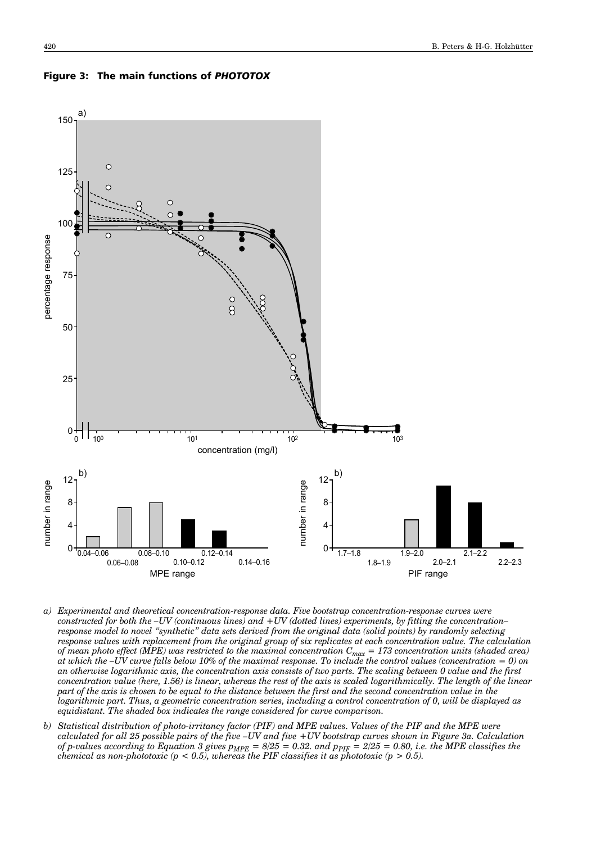

#### Figure 3: The main functions of *PHOTOTOX*

- *a) Experimental and theoretical concentration-response data. Five bootstrap concentration-response curves were constructed for both the -UV (continuous lines) and +UV (dotted lines) experiments, by fitting the concentration– response model to novel ìsyntheticî data sets derived from the original data (solid points) by randomly selecting response values with replacement from the original group of six replicates at each concentration value. The calculation of mean photo effect (MPE) was restricted to the maximal concentration Cmax = 173 concentration units (shaded area) at which the*  $-VV$  *curve falls below 10% of the maximal response. To include the control values (concentration = 0) on an otherwise logarithmic axis, the concentration axis consists of two parts. The scaling between 0 value and the first concentration value (here, 1.56) is linear, whereas the rest of the axis is scaled logarithmically. The length of the linear part of the axis is chosen to be equal to the distance between the first and the second concentration value in the logarithmic part. Thus, a geometric concentration series, including a control concentration of 0, will be displayed as equidistant. The shaded box indicates the range considered for curve comparison.*
- *b) Statistical distribution of photo-irritancy factor (PIF) and MPE values. Values of the PIF and the MPE were calculated for all 25 possible pairs of the five -UV and five +UV bootstrap curves shown in Figure 3a. Calculation of p-values according to Equation 3 gives*  $p_{MPE} = 8/25 = 0.32$ *. and*  $p_{FIF} = 2/25 = 0.80$ *, i.e. the MPE classifies the chemical as non-phototoxic (p < 0.5), whereas the PIF classifies it as phototoxic (p > 0.5).*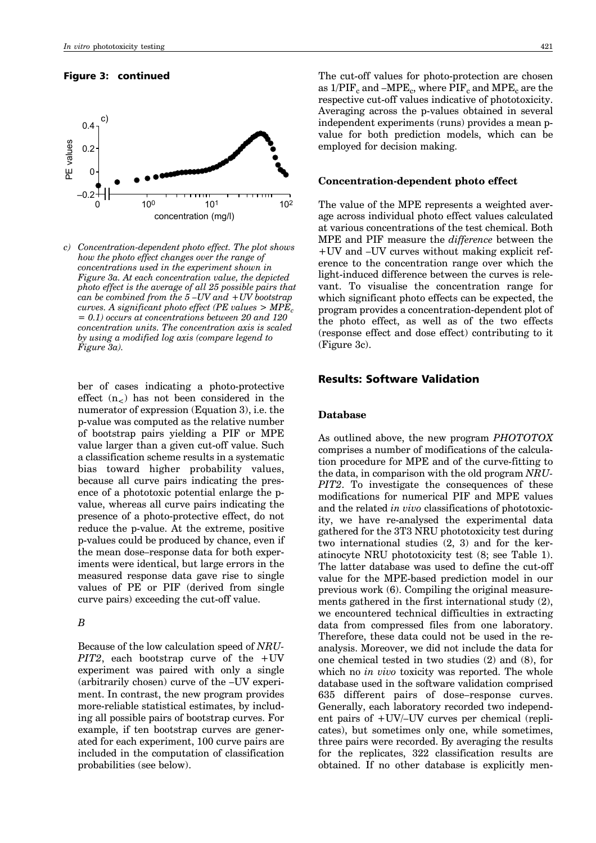### Figure 3: continued



*c) Concentration-dependent photo effect. The plot shows how the photo effect changes over the range of concentrations used in the experiment shown in Figure 3a. At each concentration value, the depicted photo effect is the average of all 25 possible pairs that can be combined from the 5 -UV and +UV bootstrap curves.* A significant photo effect (PE values  $>$  MPE<sub>c</sub> *= 0.1) occurs at concentrations between 20 and 120 concentration units. The concentration axis is scaled by using a modified log axis (compare legend to Figure 3a).* 

ber of cases indicating a photo-protective effect  $(n_<)$  has not been considered in the numerator of expression (Equation 3), i.e. the p-value was computed as the relative number of bootstrap pairs yielding a PIF or MPE value larger than a given cut-off value. Such a classification scheme results in a systematic bias toward higher probability values, because all curve pairs indicating the presence of a phototoxic potential enlarge the pvalue, whereas all curve pairs indicating the presence of a photo-protective effect, do not reduce the p-value. At the extreme, positive p-values could be produced by chance, even if the mean dose-response data for both experiments were identical, but large errors in the measured response data gave rise to single values of PE or PIF (derived from single curve pairs) exceeding the cut-off value.

#### *B*

Because of the low calculation speed of *NRU-PIT2*, each bootstrap curve of the +UV experiment was paired with only a single  $(\text{arbitrarily chosen})$  curve of the  $-VV$  experiment. In contrast, the new program provides more-reliable statistical estimates, by including all possible pairs of bootstrap curves. For example, if ten bootstrap curves are generated for each experiment, 100 curve pairs are included in the computation of classification probabilities (see below).

The cut-off values for photo-protection are chosen as  $1/PIF_c$  and  $-MPE_c$ , where  $PIF_c$  and  $MPE_c$  are the respective cut-off values indicative of phototoxicity. Averaging across the p-values obtained in several independent experiments (runs) provides a mean pvalue for both prediction models, which can be employed for decision making.

#### **Concentration-dependent photo effect**

The value of the MPE represents a weighted average across individual photo effect values calculated at various concentrations of the test chemical. Both MPE and PIF measure the *difference* between the +UV and -UV curves without making explicit reference to the concentration range over which the light-induced difference between the curves is relevant. To visualise the concentration range for which significant photo effects can be expected, the program provides a concentration-dependent plot of the photo effect, as well as of the two effects (response effect and dose effect) contributing to it (Figure 3c).

# Results: Software Validation

## **Database**

As outlined above, the new program *PHOTOTOX* comprises a number of modifications of the calculation procedure for MPE and of the curve-fitting to the data, in comparison with the old program *NRU-PIT2*. To investigate the consequences of these modifications for numerical PIF and MPE values and the related *in vivo* classifications of phototoxicity, we have re-analysed the experimental data gathered for the 3T3 NRU phototoxicity test during two international studies (2, 3) and for the keratinocyte NRU phototoxicity test (8; see Table 1). The latter database was used to define the cut-off value for the MPE-based prediction model in our previous work (6). Compiling the original measurements gathered in the first international study (2), we encountered technical difficulties in extracting data from compressed files from one laboratory. Therefore, these data could not be used in the reanalysis. Moreover, we did not include the data for one chemical tested in two studies (2) and (8), for which no *in vivo* toxicity was reported. The whole database used in the software validation comprised 635 different pairs of dose-response curves. Generally, each laboratory recorded two independent pairs of  $+UV$ /–UV curves per chemical (replicates), but sometimes only one, while sometimes, three pairs were recorded. By averaging the results for the replicates, 322 classification results are obtained. If no other database is explicitly men-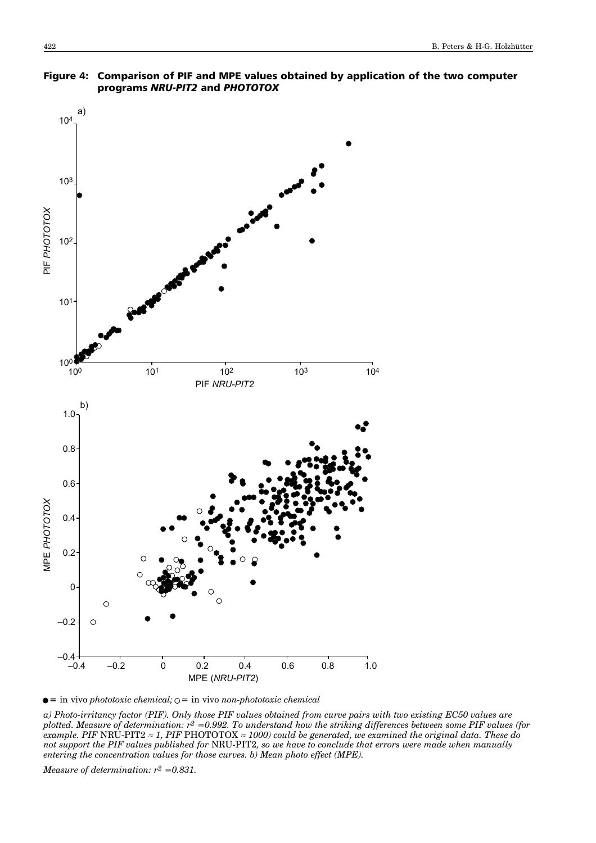

# Figure 4: Comparison of PIF and MPE values obtained by application of the two computer programs *NRU-PIT2* and *PHOTOTOX*

 $\bullet$  = in vivo *phototoxic chemical*;  $\circ$  = in vivo *non-phototoxic chemical* 

*a) Photo-irritancy factor (PIF). Only those PIF values obtained from curve pairs with two existing EC50 values are plotted. Measure of determination: r2 =0.992. To understand how the striking differences between some PIF values (for example. PIF* NRU-PIT2 <sup>≈</sup> *1, PIF* PHOTOTOX <sup>≈</sup> *1000) could be generated, we examined the original data. These do not support the PIF values published for* NRU-PIT2*, so we have to conclude that errors were made when manually entering the concentration values for those curves. b) Mean photo effect (MPE).*

*Measure of determination: r2 =0.831.*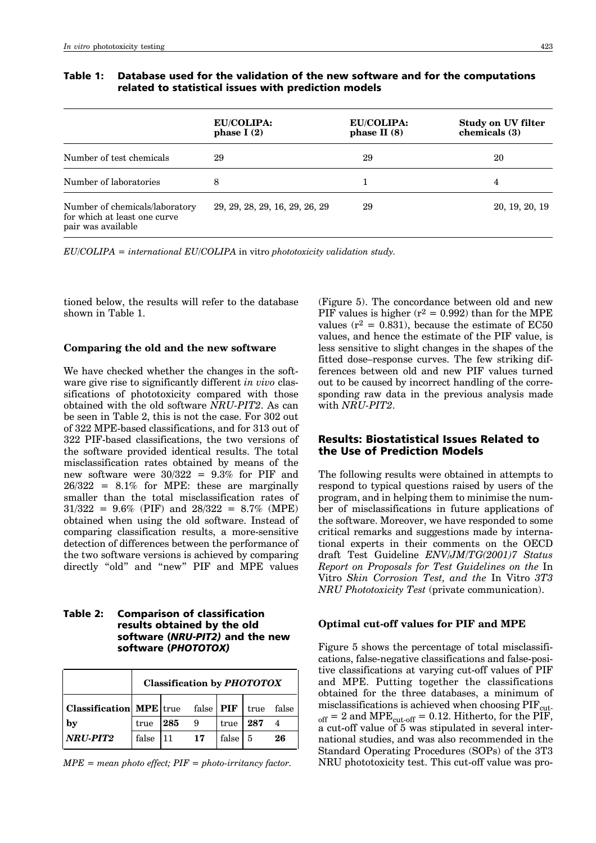|                                                                                      | <b>EU/COLIPA:</b><br>phase $I(2)$ | <b>EU/COLIPA:</b><br>phase II $(8)$ | Study on UV filter<br>chemicals (3) |
|--------------------------------------------------------------------------------------|-----------------------------------|-------------------------------------|-------------------------------------|
| Number of test chemicals                                                             | 29                                | 29                                  | 20                                  |
| Number of laboratories                                                               | 8                                 |                                     | 4                                   |
| Number of chemicals/laboratory<br>for which at least one curve<br>pair was available | 29, 29, 28, 29, 16, 29, 26, 29    | 29                                  | 20, 19, 20, 19                      |

# Table 1: Database used for the validation of the new software and for the computations related to statistical issues with prediction models

*EU/COLIPA = international EU/COLIPA* in vitro *phototoxicity validation study.*

tioned below, the results will refer to the database shown in Table 1.

#### **Comparing the old and the new software**

We have checked whether the changes in the software give rise to significantly different *in vivo* classifications of phototoxicity compared with those obtained with the old software *NRU-PIT2*. As can be seen in Table 2, this is not the case. For 302 out of 322 MPE-based classifications, and for 313 out of 322 PIF-based classifications, the two versions of the software provided identical results. The total misclassification rates obtained by means of the new software were  $30/322 = 9.3\%$  for PIF and  $26/322 = 8.1\%$  for MPE: these are marginally smaller than the total misclassification rates of  $31/322 = 9.6\%$  (PIF) and  $28/322 = 8.7\%$  (MPE) obtained when using the old software. Instead of comparing classification results, a more-sensitive detection of differences between the performance of the two software versions is achieved by comparing directly "old" and "new" PIF and MPE values

# Table 2: Comparison of classification results obtained by the old software (*NRU-PIT2)* and the new software (*PHOTOTOX)*

|                                |       |     | <b>Classification by PHOTOTOX</b> |       |      |       |
|--------------------------------|-------|-----|-----------------------------------|-------|------|-------|
| <b>Classification MPE</b> true |       |     | false $\sf I$ PIF                 |       | true | false |
| $\mathbf{b}$                   | true  | 285 | 9                                 | true  | 287  |       |
| NRU-PIT2                       | false | 111 | 17                                | false | 5    | 26    |

*MPE = mean photo effect; PIF = photo-irritancy factor.*

(Figure 5). The concordance between old and new PIF values is higher  $(r^2 = 0.992)$  than for the MPE values ( $r^2 = 0.831$ ), because the estimate of EC50 values, and hence the estimate of the PIF value, is less sensitive to slight changes in the shapes of the fitted dose–response curves. The few striking differences between old and new PIF values turned out to be caused by incorrect handling of the corresponding raw data in the previous analysis made with *NRU-PIT2*.

# Results: Biostatistical Issues Related to the Use of Prediction Models

The following results were obtained in attempts to respond to typical questions raised by users of the program, and in helping them to minimise the number of misclassifications in future applications of the software. Moreover, we have responded to some critical remarks and suggestions made by international experts in their comments on the OECD draft Test Guideline *ENV/JM/TG(2001)7 Status Report on Proposals for Test Guidelines on the* In Vitro *Skin Corrosion Test, and the* In Vitro *3T3 NRU Phototoxicity Test* (private communication).

#### **Optimal cut-off values for PIF and MPE**

Figure 5 shows the percentage of total misclassifications, false-negative classifications and false-positive classifications at varying cut-off values of PIF and MPE. Putting together the classifications obtained for the three databases, a minimum of misclassifications is achieved when choosing  $PIF_{cut}$ .  $_{\text{off}}$  = 2 and MPE<sub>cut-off</sub> = 0.12. Hitherto, for the PIF, a cut-off value of 5 was stipulated in several international studies, and was also recommended in the Standard Operating Procedures (SOPs) of the 3T3 NRU phototoxicity test. This cut-off value was pro-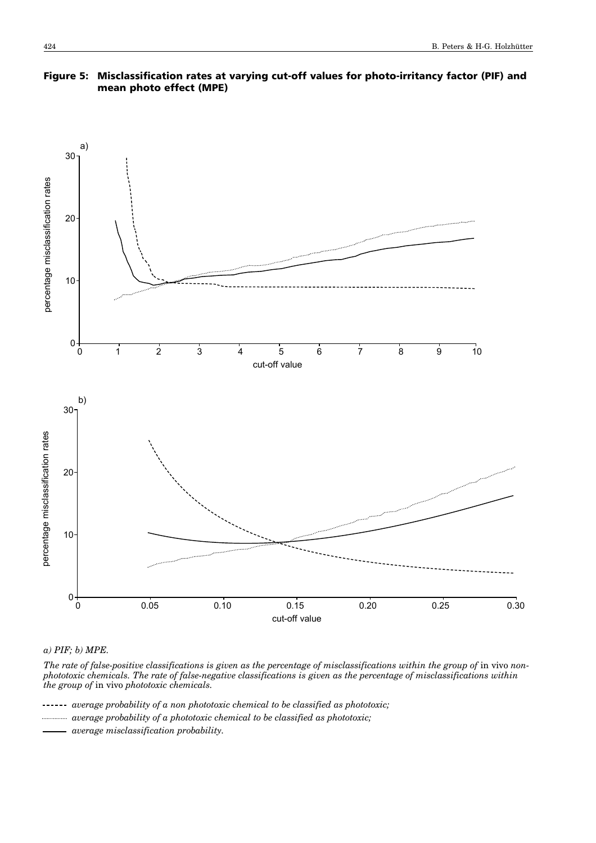# Figure 5: Misclassification rates at varying cut-off values for photo-irritancy factor (PIF) and mean photo effect (MPE)



*a) PIF; b) MPE.*

The rate of false-positive classifications is given as the percentage of misclassifications within the group of in vivo non*phototoxic chemicals. The rate of false-negative classifications is given as the percentage of misclassifications within the group of* in vivo *phototoxic chemicals.*

*average probability of a non phototoxic chemical to be classified as phototoxic;*

*average probability of a phototoxic chemical to be classified as phototoxic;*

*average misclassification probability.*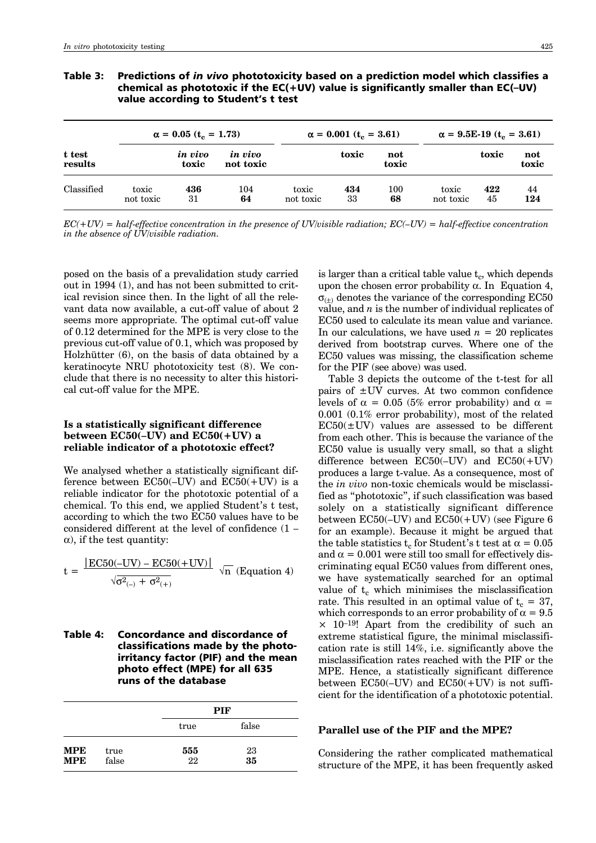|                   |                    | $\alpha = 0.05$ (t <sub>c</sub> = 1.73) |                             |                    | $\alpha = 0.001$ (t <sub>c</sub> = 3.61) |              | $\alpha = 9.5E-19$ (t <sub>c</sub> = 3.61) |           |              |
|-------------------|--------------------|-----------------------------------------|-----------------------------|--------------------|------------------------------------------|--------------|--------------------------------------------|-----------|--------------|
| t test<br>results |                    | in vivo<br>toxic                        | <i>in vivo</i><br>not toxic |                    | toxic                                    | not<br>toxic |                                            | toxic     | not<br>toxic |
| Classified        | toxic<br>not toxic | 436<br>31                               | 104<br>64                   | toxic<br>not toxic | 434<br>33                                | 100<br>68    | toxic<br>not toxic                         | 422<br>45 | 44<br>124    |

## Table 3: Predictions of *in vivo* phototoxicity based on a prediction model which classifies a chemical as phototoxic if the EC(+UV) value is significantly smaller than EC(-UV) value according to Student's t test

 $EC(+UV) = half\text{-}effective\,\,concentration\,\,in\,\,the\,\,presce\,\,of\,\,UV/visible\,\,radiation;\,\,EC(-UV) = half\text{-}effective\,\,concentration$ *in the absence of UV/visible radiation.*

posed on the basis of a prevalidation study carried out in 1994 (1), and has not been submitted to critical revision since then. In the light of all the relevant data now available, a cut-off value of about 2 seems more appropriate. The optimal cut-off value of 0.12 determined for the MPE is very close to the previous cut-off value of 0.1, which was proposed by Holzhütter  $(6)$ , on the basis of data obtained by a keratinocyte NRU phototoxicity test (8). We conclude that there is no necessity to alter this historical cut-off value for the MPE.

# **Is a statistically significant difference** between  $EC50(-UV)$  and  $EC50(+UV)$  a **reliable indicator of a phototoxic effect?**

We analysed whether a statistically significant difference between  $EC50(-UV)$  and  $EC50(+UV)$  is a reliable indicator for the phototoxic potential of a chemical. To this end, we applied Student's t test, according to which the two EC50 values have to be considered different at the level of confidence  $(1 \alpha$ ), if the test quantity:

$$
t = \frac{|\text{EC50}(-UV) - \text{EC50}(+UV)|}{\sqrt{\sigma^2_{(-)} + \sigma^2_{(+)}}}
$$
  $\sqrt{n}$  (Equation 4)

# Table 4: Concordance and discordance of classifications made by the photoirritancy factor (PIF) and the mean photo effect (MPE) for all 635 runs of the database

|            |       |      | <b>PIF</b> |
|------------|-------|------|------------|
|            |       | true | false      |
| <b>MPE</b> | true  | 555  | 23         |
| <b>MPE</b> | false | 22   | 35         |

is larger than a critical table value  $t_c$ , which depends upon the chosen error probability  $\alpha$ . In Equation 4,  $\sigma_{(+)}$  denotes the variance of the corresponding EC50 value, and *n* is the number of individual replicates of EC50 used to calculate its mean value and variance. In our calculations, we have used  $n = 20$  replicates derived from bootstrap curves. Where one of the EC50 values was missing, the classification scheme for the PIF (see above) was used.

Table 3 depicts the outcome of the t-test for all pairs of ±UV curves. At two common confidence levels of  $\alpha = 0.05$  (5% error probability) and  $\alpha =$ 0.001 (0.1% error probability), most of the related  $EC50(\pm UV)$  values are assessed to be different from each other. This is because the variance of the EC50 value is usually very small, so that a slight difference between  $EC50(-UV)$  and  $EC50(+UV)$ produces a large t-value. As a consequence, most of the *in vivo* non-toxic chemicals would be misclassified as "phototoxic", if such classification was based solely on a statistically significant difference between  $EC50(-UV)$  and  $EC50(+UV)$  (see Figure 6 for an example). Because it might be argued that the table statistics t<sub>c</sub> for Student's t test at  $\alpha = 0.05$ and  $\alpha = 0.001$  were still too small for effectively discriminating equal EC50 values from different ones, we have systematically searched for an optimal value of  $t_c$  which minimises the misclassification rate. This resulted in an optimal value of  $t_c = 37$ , which corresponds to an error probability of  $\alpha = 9.5$  $\times$  10<sup>-19</sup>! Apart from the credibility of such an extreme statistical figure, the minimal misclassification rate is still 14%, i.e. significantly above the misclassification rates reached with the PIF or the MPE. Hence, a statistically significant difference between  $EC50(-UV)$  and  $EC50(+UV)$  is not sufficient for the identification of a phototoxic potential.

#### **Parallel use of the PIF and the MPE?**

Considering the rather complicated mathematical structure of the MPE, it has been frequently asked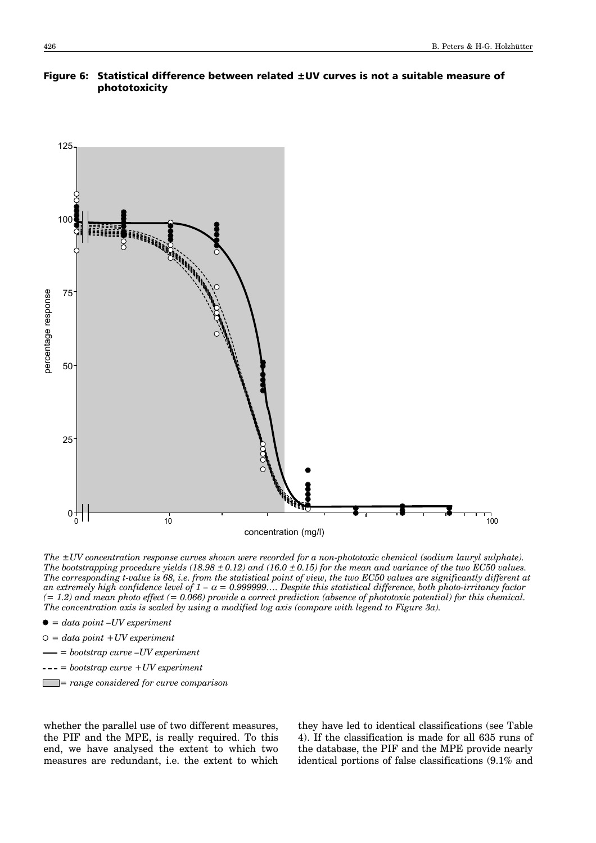



*The ±UV concentration response curves shown were recorded for a non-phototoxic chemical (sodium lauryl sulphate). The bootstrapping procedure yields (18.98*  $\pm$  *0.12) and (16.0*  $\pm$  *0.15) for the mean and variance of the two EC50 values. The corresponding t-value is 68, i.e. from the statistical point of view, the two EC50 values are significantly different at* an extremely high confidence level of  $1 - \alpha = 0.999999...$  Despite this statistical difference, both photo-irritancy factor *(= 1.2) and mean photo effect (= 0.066) provide a correct prediction (absence of phototoxic potential) for this chemical. The concentration axis is scaled by using a modified log axis (compare with legend to Figure 3a).* 

- $\bullet = data point$  *-UV experiment*
- *= data point +UV experiment*
- $-$  = bootstrap curve  $-UV$  experiment
- *= bootstrap curve +UV experiment*
- *= range considered for curve comparison*

whether the parallel use of two different measures, the PIF and the MPE, is really required. To this end, we have analysed the extent to which two measures are redundant, i.e. the extent to which

they have led to identical classifications (see Table 4). If the classification is made for all 635 runs of the database, the PIF and the MPE provide nearly identical portions of false classifications (9.1% and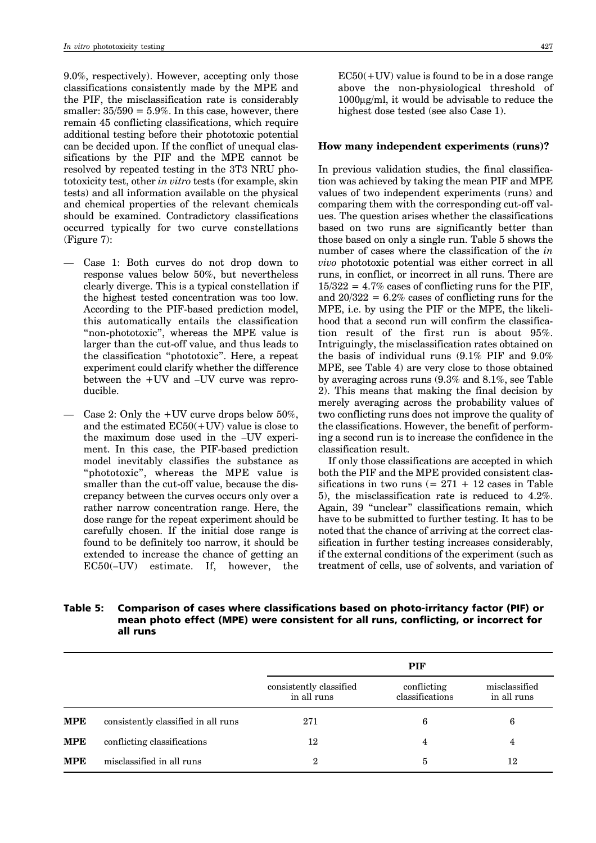9.0%, respectively). However, accepting only those classifications consistently made by the MPE and the PIF, the misclassification rate is considerably smaller:  $35/590 = 5.9\%$ . In this case, however, there remain 45 conflicting classifications, which require additional testing before their phototoxic potential can be decided upon. If the conflict of unequal classifications by the PIF and the MPE cannot be resolved by repeated testing in the 3T3 NRU phototoxicity test, other *in vitro* tests (for example, skin tests) and all information available on the physical and chemical properties of the relevant chemicals should be examined. Contradictory classifications occurred typically for two curve constellations (Figure 7):

- ó Case 1: Both curves do not drop down to response values below 50%, but nevertheless clearly diverge. This is a typical constellation if the highest tested concentration was too low. According to the PIF-based prediction model, this automatically entails the classification "non-phototoxic", whereas the MPE value is larger than the cut-off value, and thus leads to the classification "phototoxic". Here, a repeat experiment could clarify whether the difference between the  $+UV$  and  $-UV$  curve was reproducible.
- Case 2: Only the  $+UV$  curve drops below 50%, and the estimated  $EC50(+UV)$  value is close to the maximum dose used in the  $-UV$  experiment. In this case, the PIF-based prediction model inevitably classifies the substance as "phototoxic", whereas the MPE value is smaller than the cut-off value, because the discrepancy between the curves occurs only over a rather narrow concentration range. Here, the dose range for the repeat experiment should be carefully chosen. If the initial dose range is found to be definitely too narrow, it should be extended to increase the chance of getting an  $EC50(-UV)$  estimate. If, however, the

 $EC50(+UV)$  value is found to be in a dose range above the non-physiological threshold of 1000µg/ml, it would be advisable to reduce the highest dose tested (see also Case 1).

#### **How many independent experiments (runs)?**

In previous validation studies, the final classification was achieved by taking the mean PIF and MPE values of two independent experiments (runs) and comparing them with the corresponding cut-off values. The question arises whether the classifications based on two runs are significantly better than those based on only a single run. Table 5 shows the number of cases where the classification of the *in vivo* phototoxic potential was either correct in all runs, in conflict, or incorrect in all runs. There are  $15/322 = 4.7\%$  cases of conflicting runs for the PIF, and  $20/322 = 6.2\%$  cases of conflicting runs for the MPE, i.e. by using the PIF or the MPE, the likelihood that a second run will confirm the classification result of the first run is about 95%. Intriguingly, the misclassification rates obtained on the basis of individual runs (9.1% PIF and 9.0% MPE, see Table 4) are very close to those obtained by averaging across runs (9.3% and 8.1%, see Table 2). This means that making the final decision by merely averaging across the probability values of two conflicting runs does not improve the quality of the classifications. However, the benefit of performing a second run is to increase the confidence in the classification result.

If only those classifications are accepted in which both the PIF and the MPE provided consistent classifications in two runs  $(= 271 + 12)$  cases in Table 5), the misclassification rate is reduced to 4.2%. Again, 39 "unclear" classifications remain, which have to be submitted to further testing. It has to be noted that the chance of arriving at the correct classification in further testing increases considerably, if the external conditions of the experiment (such as treatment of cells, use of solvents, and variation of

# Table 5: Comparison of cases where classifications based on photo-irritancy factor (PIF) or mean photo effect (MPE) were consistent for all runs, conflicting, or incorrect for all runs

|            |                                     |                                        | <b>PIF</b>                     |                              |
|------------|-------------------------------------|----------------------------------------|--------------------------------|------------------------------|
|            |                                     | consistently classified<br>in all runs | conflicting<br>classifications | misclassified<br>in all runs |
| <b>MPE</b> | consistently classified in all runs | 271                                    | 6                              | 6                            |
| <b>MPE</b> | conflicting classifications         | 12                                     | 4                              | 4                            |
| <b>MPE</b> | misclassified in all runs           | $\overline{2}$                         | 5                              | 12                           |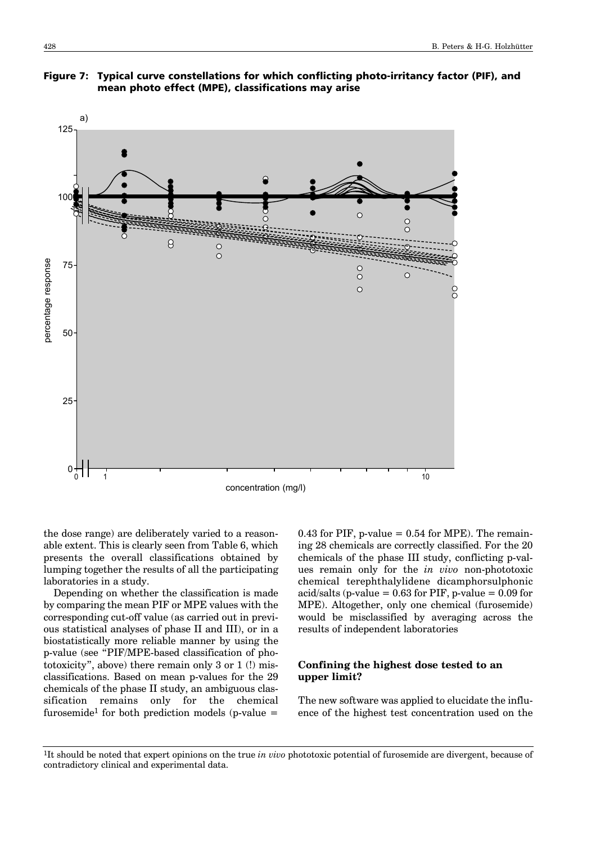



the dose range) are deliberately varied to a reasonable extent. This is clearly seen from Table 6, which presents the overall classifications obtained by lumping together the results of all the participating laboratories in a study.

Depending on whether the classification is made by comparing the mean PIF or MPE values with the corresponding cut-off value (as carried out in previous statistical analyses of phase II and III), or in a biostatistically more reliable manner by using the p-value (see "PIF/MPE-based classification of phototoxicity", above) there remain only  $3$  or  $1$  (!) misclassifications. Based on mean p-values for the 29 chemicals of the phase II study, an ambiguous classification remains only for the chemical furosemide<sup>1</sup> for both prediction models (p-value  $=$ 

0.43 for PIF, p-value  $= 0.54$  for MPE). The remaining 28 chemicals are correctly classified. For the 20 chemicals of the phase III study, conflicting p-values remain only for the *in vivo* non-phototoxic chemical terephthalylidene dicamphorsulphonic acid/salts (p-value =  $0.63$  for PIF, p-value =  $0.09$  for MPE). Altogether, only one chemical (furosemide) would be misclassified by averaging across the results of independent laboratories

# **Confining the highest dose tested to an upper limit?**

The new software was applied to elucidate the influence of the highest test concentration used on the

<sup>1</sup>It should be noted that expert opinions on the true *in vivo* phototoxic potential of furosemide are divergent, because of contradictory clinical and experimental data.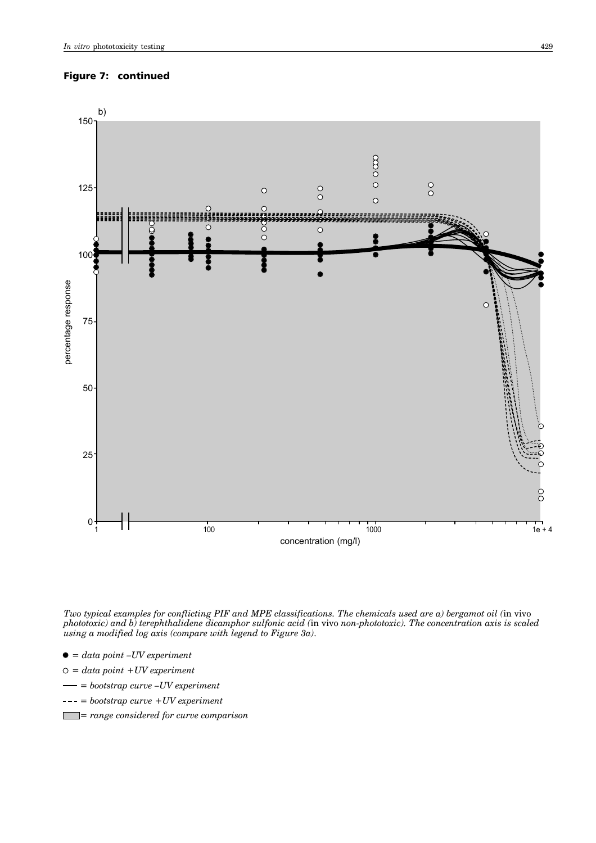# Figure 7: continued



*Two typical examples for conflicting PIF and MPE classifications. The chemicals used are a) bergamot oil (*in vivo *phototoxic) and b) terephthalidene dicamphor sulfonic acid (*in vivo *non-phototoxic). The concentration axis is scaled using a modified log axis (compare with legend to Figure 3a)*.

- $\bullet = data point -UV experiment$
- *= data point +UV experiment*
- $=$  bootstrap curve  $-UV$  experiment
- *= bootstrap curve +UV experiment*
- *= range considered for curve comparison*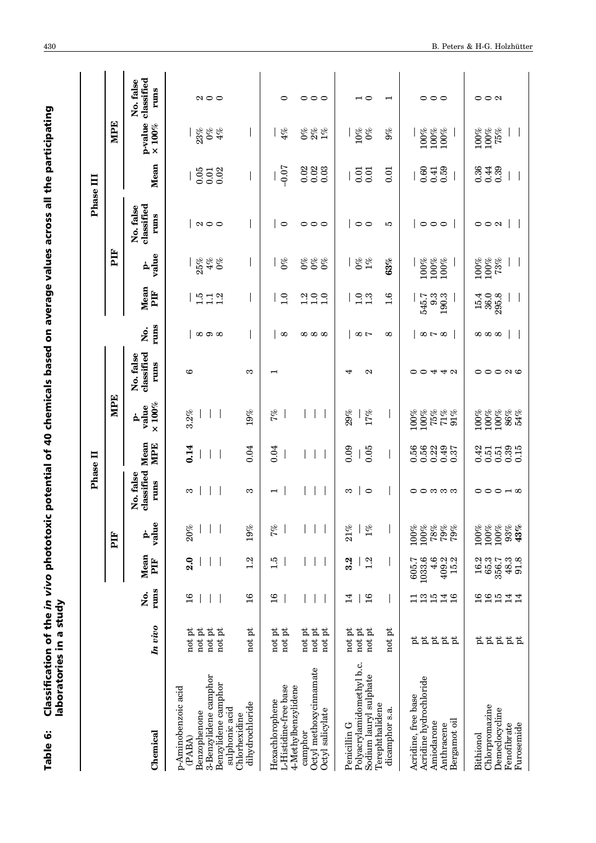| i<br>,<br>r<br>L<br>i<br><b>SAGADING WWW.</b><br>lassification of the in vivo ph<br>able 6: | oratories in a st |
|---------------------------------------------------------------------------------------------|-------------------|
|                                                                                             |                   |

|                                                                                                                 |                                              |                                                                            |                                             |                                         |                                 | Phase II                             |                                    |                                 |                                        |                                        |                             | Phase III                       |                              |                                       |                                 |
|-----------------------------------------------------------------------------------------------------------------|----------------------------------------------|----------------------------------------------------------------------------|---------------------------------------------|-----------------------------------------|---------------------------------|--------------------------------------|------------------------------------|---------------------------------|----------------------------------------|----------------------------------------|-----------------------------|---------------------------------|------------------------------|---------------------------------------|---------------------------------|
|                                                                                                                 |                                              |                                                                            |                                             | FIF                                     |                                 |                                      | MPE                                |                                 |                                        |                                        | È                           |                                 |                              | MPE                                   |                                 |
| Chemical                                                                                                        | In vivo                                      | runs<br>,<br>Ž                                                             | Mean<br>PIF                                 | value<br>ά                              | classified<br>No. false<br>rums | Mean<br>MPE                          | $\times 100\%$<br>value<br>ģ,      | classified<br>No. false<br>rums | runs<br>ğ,                             | Mean<br>È                              | value<br>ዹ                  | classified<br>No. false<br>rums | Mean                         | p-value<br>$\times 100\%$             | classified<br>No. false<br>runs |
| 3-Benzylidene camphor<br>Benzylidene camphor<br>p-Aminobenzoic acid<br>sulphonic acid<br>Benzophenone<br>(PABA) | not pt<br>not pt<br>not pt<br>not pt         | $\frac{6}{1}$                                                              | 2.0                                         | 20%                                     | S                               | 0.14                                 | 3.2%                               | G                               | $\infty$ $\infty$                      | $1.5$<br>$-1.2$<br>$-1.2$              | 25%<br>$4\%$<br>$0\%$       | $\Omega$ $\circ$                | 0.02<br>0.05<br>0.01         | 23%<br>$0\%$<br>$4\%$                 | $\Omega$ $\circ$                |
| dihydrochloride<br>Chlorhexidine                                                                                | not pt                                       | 16                                                                         | 1.2                                         | 19%                                     | S                               | 0.04                                 | 19%                                | က                               |                                        |                                        |                             |                                 |                              |                                       |                                 |
| L-Histidine-free base<br>4-Methylbenzylidene<br>Hexachlorophene                                                 | $\operatorname{not}$ pt<br>not pt            | $\frac{6}{1}$                                                              | $\ddot{1} \cdot \ddot{5}$                   | 7%                                      | $\overline{\phantom{0}}$        | 0.04                                 | 7%                                 | $\overline{\phantom{0}}$        | $\infty$                               | $\frac{1}{1}$                          | $0\%$                       | $\circ$                         | $-0.07$                      | $4\%$                                 | 0                               |
| Octyl methoxycinnamate<br>Octyl salicylate<br>camphor                                                           | $\operatorname*{not}$ pt<br>not pt<br>not pt |                                                                            |                                             |                                         |                                 |                                      |                                    |                                 | ထ ထ ထ                                  | $\frac{0}{1.0}$<br>$\frac{2}{1}$       | 888<br>08                   | 000                             | 0.02<br>0.02<br>0.03         | $\mathcal{O}^{\otimes 0}$<br>$2\%$ 1% | $\circ \circ \circ$             |
| Polyacrylamidomethyl b.c.<br>Sodium lauryl sulphate<br>Terephthalidene<br>Penicillin G                          | $\operatorname*{not}$ pt<br>not pt<br>not pt | 14<br>$\frac{6}{1}$<br>$\overline{1}$                                      | 3.2<br>1.2                                  | 21%<br>$1\%$                            | $\circ$<br>S                    | 0.09<br>0.05                         | 29%<br>17%                         | Z<br>₩                          | $\infty$ r                             | $\frac{0}{1}$ . 3                      | $\frac{6}{6}$               | $\circ$                         | $0.01\,$<br>0.01             | 10%<br>$0\%$                          | $\overline{\phantom{0}}$        |
| Acridine hydrochloride<br>Acridine, free base<br>dicamphor s.a.<br>Bergamot oil<br>Amiodarone<br>Anthracene     | not pt<br><b>E</b> E<br>$\frac{1}{2}$<br>pť  | $\begin{array}{c} 25 \\ 15 \end{array}$<br>14 <sub>6</sub><br>급            | 1033.6<br>4.6<br>$409.2$<br>$15.2$<br>605.7 | $78\%$<br>$79\%$<br>100%<br>100%<br>79% | <b>00000</b>                    | 0.56<br>0.56<br>0.22<br>0.49<br>0.37 | 100%<br>75%<br>71%<br>100%<br>91%  | O 4 4 0<br>⊂                    | $\infty$ $\sim$ $\infty$<br>$^{\circ}$ | $\frac{6}{1}$<br>9.3<br>190.3<br>545.7 | 63%<br>100%<br>100%<br>100% | $\circ \circ \circ$<br>P.       | 0.60<br>0.59<br>0.41<br>0.01 | 100%<br>9%<br>100%<br>100%            | 000<br>$\overline{\phantom{0}}$ |
| Chlorpromazine<br>Demeclocycline<br>Furosemide<br>Fenofibrate<br>Bithionol                                      | <b>EEEE</b><br>Þ                             | $\frac{6}{1}$<br>$\begin{array}{c} 16 \\ 15 \end{array}$<br>$\frac{4}{14}$ | 16.2<br>$65.3$<br>$356.7$<br>$48.3$<br>91.8 | 100%<br>100%<br>100%<br>$93\%$<br>43%   | 00010                           | 0.39<br>0.42<br>0.51<br>0.15<br>0.51 | 100%<br>100%<br>86%<br>100%<br>54% | 000 00                          | ထ ထ ထ                                  | 15.4<br>36.0<br>295.8                  | $100\%$<br>73%<br>100%      | $\circ$ $\circ$ $\circ$         | 0.36<br>0.39<br>0.44         | 100%<br>100%<br>75%                   | $\circ$ $\circ$ $\circ$         |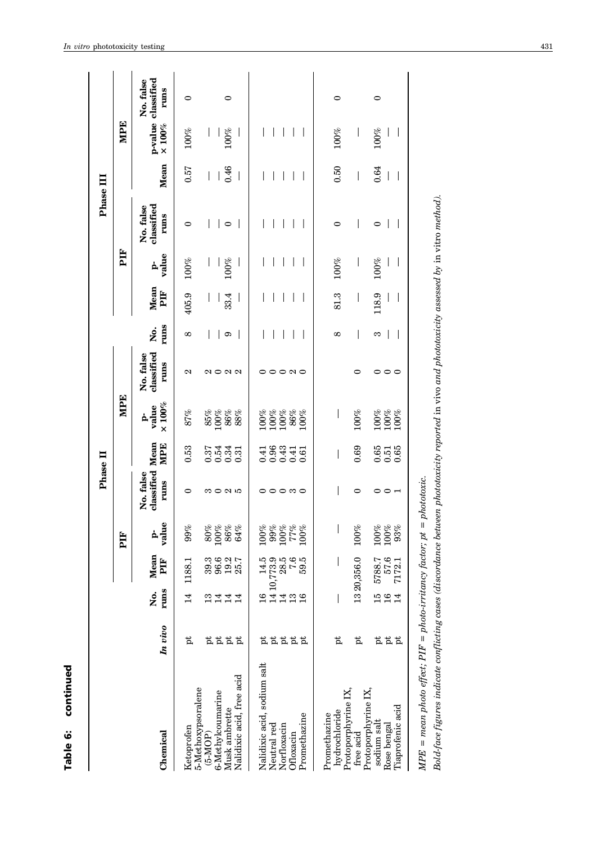|                                                                            |              |                 |                  |                                                       | Phase II                             |                            |                                                        |                                               |                          |                          |                          | Phase III                       |                          |                          |                                         |
|----------------------------------------------------------------------------|--------------|-----------------|------------------|-------------------------------------------------------|--------------------------------------|----------------------------|--------------------------------------------------------|-----------------------------------------------|--------------------------|--------------------------|--------------------------|---------------------------------|--------------------------|--------------------------|-----------------------------------------|
|                                                                            |              |                 |                  | PIF                                                   |                                      |                            | <b>MPE</b>                                             |                                               |                          |                          | PIF                      |                                 |                          | <b>MPE</b>               |                                         |
| Chemical                                                                   | In vivo      | runs<br>,<br>Ž  | Mean<br>ÈE       | value<br>ė                                            | classified Mean<br>No. false<br>runs | MPE                        | $\times 100\%$<br>value<br>ģ,                          | classified<br>No. false<br>runs               | runs<br>ğ,               | Mean<br>È                | value<br>ዹ               | classified<br>No. false<br>runs | Mean                     | $\times 100\%$           | p-value classified<br>No. false<br>rums |
| Ketoprofen                                                                 | Þ            | $\overline{14}$ | 1188.1           | 99%                                                   | 0                                    | 0.53                       | 87%                                                    | 2                                             | $^{\circ}$               | 405.9                    | 100%                     | 0                               | 0.57                     | 100%                     | 0                                       |
| 5-Methoxypsoralene<br>$(5-MOP)$                                            |              | $\frac{3}{1}$   | 39.3             | 80%                                                   |                                      |                            | $\frac{85\%}{100\%}$                                   |                                               | I                        |                          |                          |                                 | I                        |                          |                                         |
| 6-Methylcoumarine                                                          | <b>EEEE</b>  | $\overline{14}$ | 96.6             | 100%                                                  | ຕ O N 10                             |                            |                                                        | $\mathfrak{a}\circ\mathfrak{a}\,\mathfrak{a}$ |                          |                          |                          |                                 |                          |                          |                                         |
| Musk ambrette                                                              |              | 14              | $19.2$<br>$25.7$ | 86%<br>64%                                            |                                      |                            | 86%<br>88%                                             |                                               | $\circ$                  | 33.4                     | 100%                     | $\circ$                         | 0.46                     | 100%                     | 0                                       |
| Nalidixic acid, free acid                                                  |              | $\overline{14}$ |                  |                                                       |                                      |                            |                                                        |                                               |                          |                          |                          |                                 |                          |                          |                                         |
| Nalidixic acid, sodium salt                                                |              | $\frac{6}{1}$   | 14.5             | 100%                                                  |                                      |                            |                                                        |                                               | I                        |                          |                          |                                 |                          |                          |                                         |
| Neutral red                                                                |              |                 | 1410,773.9       |                                                       |                                      | $0.41$<br>$0.96$           |                                                        |                                               | $\overline{1}$           |                          |                          |                                 | $\overline{\phantom{a}}$ |                          |                                         |
| Norfloxacin                                                                | <b>AAAAA</b> | 14              | 28.5             | $\begin{array}{c} 264 \\ 2601 \\ 2001 \\ \end{array}$ | 000 00                               | 0.43                       | $\begin{array}{c} 100\% \\ 100\% \\ 100\% \end{array}$ | 000 00                                        | $\overline{\phantom{a}}$ |                          |                          |                                 | $\overline{\phantom{a}}$ | $\overline{\phantom{a}}$ |                                         |
| Ofloxacin                                                                  |              | $\frac{3}{1}$   | 7.6              |                                                       |                                      | 0.41                       | $86\%$                                                 |                                               |                          |                          |                          | $\overline{\phantom{a}}$        | $\overline{\phantom{a}}$ |                          |                                         |
| Promethazine                                                               |              | $\frac{6}{1}$   | 59.5             | 100%                                                  |                                      | 0.61                       | $100\%$                                                |                                               |                          | $\overline{\phantom{a}}$ |                          | $\overline{\phantom{a}}$        |                          |                          |                                         |
| Promethazine                                                               |              |                 |                  |                                                       |                                      |                            |                                                        |                                               |                          |                          |                          |                                 |                          |                          |                                         |
| Protoporphyrine IX,<br>hydrochloride                                       | þt           |                 |                  |                                                       |                                      |                            | $\overline{\phantom{a}}$                               |                                               | 8                        | 81.3                     | 100%                     | 0                               | 0.50                     | 100%                     | 0                                       |
| free acid                                                                  | þ            |                 | 1320,356.0       | $100\%$                                               | $\circ$                              | 0.69                       | 100%                                                   | 0                                             | I                        | I                        | $\overline{\phantom{a}}$ | I                               | I                        | $\overline{\phantom{a}}$ |                                         |
| Protoporphyrine IX,<br>sodium salt                                         |              | 15              | 5788.7           | $100\%$                                               |                                      |                            |                                                        |                                               | S                        | 118.9                    | 100%                     | 0                               | 0.64                     | 100%                     | 0                                       |
| Rose bengal                                                                | <u>፟</u> ដដដ | $\frac{1}{6}$   | 57.6             | 100%                                                  | 0 0 ⊣                                | $0.51$<br>$0.65$<br>$0.65$ | $\frac{100\%}{100\%}$                                  | $\circ \circ \circ$                           |                          |                          |                          |                                 | $\overline{\phantom{a}}$ |                          |                                         |
| Tiaprofenic acid                                                           |              | $\overline{14}$ | 7172.1           | 93%                                                   |                                      |                            |                                                        |                                               | $\overline{\phantom{a}}$ | $\overline{\phantom{a}}$ | I                        | $\bigg\}$                       | $\bigg $                 | $\overline{\phantom{a}}$ |                                         |
| $MPE = mean$ photo effect; $PIF = photo-irritancy factor; pt = photototo:$ |              |                 |                  |                                                       |                                      |                            |                                                        |                                               |                          |                          |                          |                                 |                          |                          |                                         |

Bold-face figures indicate conflicting cases (discordance between phototoxicity reported in vivo and phototoxicity assessed by in vitro method). *Bold-face figures indicate conflicting cases (discordance between phototoxicity reported* in vivo *and phototoxicity assessed by* in vitro *method).*

Table 6: continued

Table 6: continued